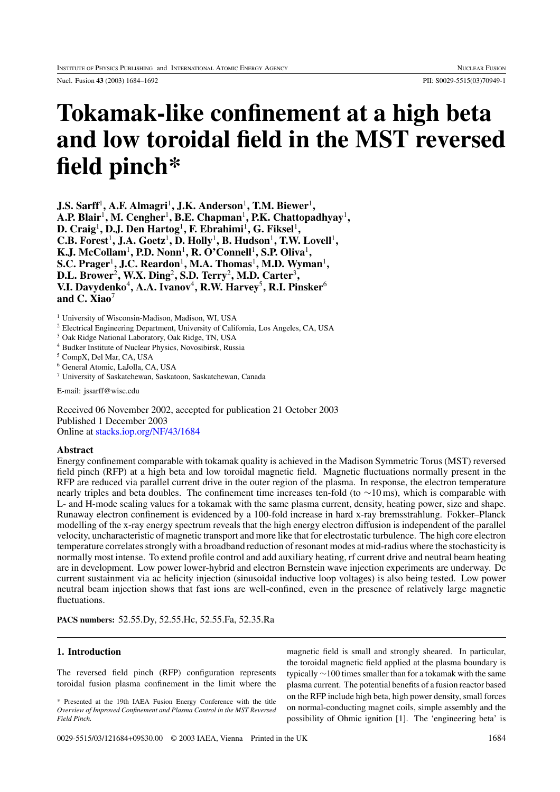Nucl. Fusion **43** (2003) 1684–1692 PII: S0029-5515(03)70949-1

# **Tokamak-like confinement at a high beta and low toroidal field in the MST reversed field pinch\***

**J.S. Sarff**<sup>1</sup>**, A.F. Almagri**<sup>1</sup>**, J.K. Anderson**<sup>1</sup>**, T.M. Biewer**<sup>1</sup>**, A.P. Blair**<sup>1</sup>**, M. Cengher**<sup>1</sup>**, B.E. Chapman**<sup>1</sup>**, P.K. Chattopadhyay**<sup>1</sup>**, D. Craig**<sup>1</sup>**, D.J. Den Hartog**<sup>1</sup>**, F. Ebrahimi**<sup>1</sup>**, G. Fiksel**<sup>1</sup>**, C.B. Forest**<sup>1</sup>**, J.A. Goetz**<sup>1</sup>**, D. Holly**<sup>1</sup>**, B. Hudson**<sup>1</sup>**, T.W. Lovell**<sup>1</sup>**, K.J. McCollam**<sup>1</sup>**, P.D. Nonn**<sup>1</sup>**, R. O'Connell**<sup>1</sup>**, S.P. Oliva**<sup>1</sup>**, S.C. Prager**<sup>1</sup>**, J.C. Reardon**<sup>1</sup>**, M.A. Thomas**<sup>1</sup>**, M.D. Wyman**<sup>1</sup>**, D.L. Brower**<sup>2</sup>**, W.X. Ding**<sup>2</sup>**, S.D. Terry**<sup>2</sup>**, M.D. Carter**<sup>3</sup>**, V.I. Davydenko**<sup>4</sup>**, A.A. Ivanov**<sup>4</sup>**, R.W. Harvey**<sup>5</sup>**, R.I. Pinsker**<sup>6</sup> **and C. Xiao**<sup>7</sup>

<sup>1</sup> University of Wisconsin-Madison, Madison, WI, USA

<sup>2</sup> Electrical Engineering Department, University of California, Los Angeles, CA, USA

- <sup>3</sup> Oak Ridge National Laboratory, Oak Ridge, TN, USA
- <sup>4</sup> Budker Institute of Nuclear Physics, Novosibirsk, Russia
- <sup>5</sup> CompX, Del Mar, CA, USA
- <sup>6</sup> General Atomic, LaJolla, CA, USA
- <sup>7</sup> University of Saskatchewan, Saskatoon, Saskatchewan, Canada

E-mail: jssarff@wisc.edu

Received 06 November 2002, accepted for publication 21 October 2003 Published 1 December 2003 Online at [stacks.iop.org/NF/43/1684](http://stacks.iop.org/nf/43/1684)

#### **Abstract**

Energy confinement comparable with tokamak quality is achieved in the Madison Symmetric Torus (MST) reversed field pinch (RFP) at a high beta and low toroidal magnetic field. Magnetic fluctuations normally present in the RFP are reduced via parallel current drive in the outer region of the plasma. In response, the electron temperature nearly triples and beta doubles. The confinement time increases ten-fold (to ∼10 ms), which is comparable with L- and H-mode scaling values for a tokamak with the same plasma current, density, heating power, size and shape. Runaway electron confinement is evidenced by a 100-fold increase in hard x-ray bremsstrahlung. Fokker–Planck modelling of the x-ray energy spectrum reveals that the high energy electron diffusion is independent of the parallel velocity, uncharacteristic of magnetic transport and more like that for electrostatic turbulence. The high core electron temperature correlates strongly with a broadband reduction of resonant modes at mid-radius where the stochasticity is normally most intense. To extend profile control and add auxiliary heating, rf current drive and neutral beam heating are in development. Low power lower-hybrid and electron Bernstein wave injection experiments are underway. Dc current sustainment via ac helicity injection (sinusoidal inductive loop voltages) is also being tested. Low power neutral beam injection shows that fast ions are well-confined, even in the presence of relatively large magnetic fluctuations.

**PACS numbers:** 52.55.Dy, 52.55.Hc, 52.55.Fa, 52.35.Ra

## **1. Introduction**

The reversed field pinch (RFP) configuration represents toroidal fusion plasma confinement in the limit where the

magnetic field is small and strongly sheared. In particular, the toroidal magnetic field applied at the plasma boundary is typically ∼100 times smaller than for a tokamak with the same plasma current. The potential benefits of a fusion reactor based on the RFP include high beta, high power density, small forces on normal-conducting magnet coils, simple assembly and the possibility of Ohmic ignition [1]. The 'engineering beta' is

<sup>\*</sup> Presented at the 19th IAEA Fusion Energy Conference with the title *Overview of Improved Confinement and Plasma Control in the MST Reversed Field Pinch.*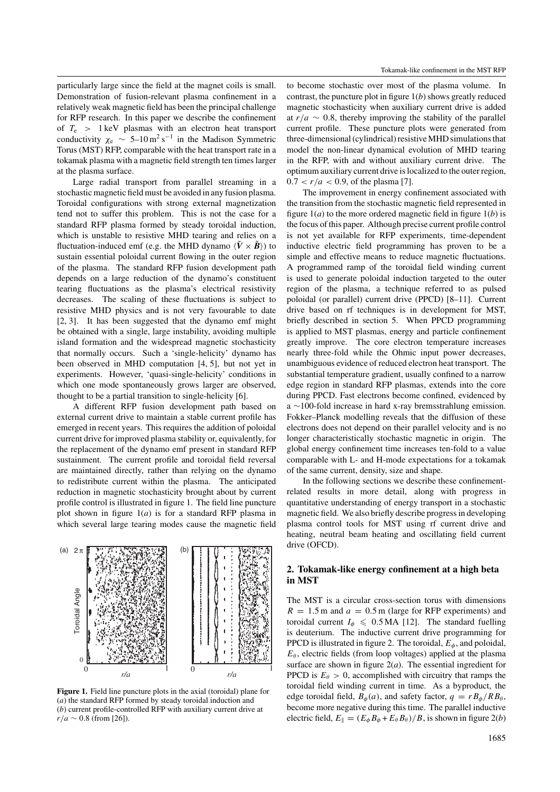particularly large since the field at the magnet coils is small. Demonstration of fusion-relevant plasma confinement in a relatively weak magnetic field has been the principal challenge for RFP research. In this paper we describe the confinement of  $T_e$  > 1 keV plasmas with an electron heat transport conductivity  $\chi_e \sim 5-10 \,\mathrm{m^2 \, s^{-1}}$  in the Madison Symmetric Torus (MST) RFP, comparable with the heat transport rate in a tokamak plasma with a magnetic field strength ten times larger at the plasma surface.

Large radial transport from parallel streaming in a stochastic magnetic field must be avoided in any fusion plasma. Toroidal configurations with strong external magnetization tend not to suffer this problem. This is not the case for a standard RFP plasma formed by steady toroidal induction, which is unstable to resistive MHD tearing and relies on a fluctuation-induced emf (e.g. the MHD dynamo  $\langle V \times B \rangle$ ) to sustain essential poloidal current flowing in the outer region of the plasma. The standard RFP fusion development path depends on a large reduction of the dynamo's constituent tearing fluctuations as the plasma's electrical resistivity decreases. The scaling of these fluctuations is subject to resistive MHD physics and is not very favourable to date [2, 3]. It has been suggested that the dynamo emf might be obtained with a single, large instability, avoiding multiple island formation and the widespread magnetic stochasticity that normally occurs. Such a 'single-helicity' dynamo has been observed in MHD computation [4, 5], but not yet in experiments. However, 'quasi-single-helicity' conditions in which one mode spontaneously grows larger are observed, thought to be a partial transition to single-helicity [6].

A different RFP fusion development path based on external current drive to maintain a stable current profile has emerged in recent years. This requires the addition of poloidal current drive for improved plasma stability or, equivalently, for the replacement of the dynamo emf present in standard RFP sustainment. The current profile and toroidal field reversal are maintained directly, rather than relying on the dynamo to redistribute current within the plasma. The anticipated reduction in magnetic stochasticity brought about by current profile control is illustrated in figure 1. The field line puncture plot shown in figure  $1(a)$  is for a standard RFP plasma in which several large tearing modes cause the magnetic field



**Figure 1.** Field line puncture plots in the axial (toroidal) plane for (*a*) the standard RFP formed by steady toroidal induction and (*b*) current profile-controlled RFP with auxiliary current drive at  $r/a \sim 0.8$  (from [26]).

to become stochastic over most of the plasma volume. In contrast, the puncture plot in figure 1(*b*) shows greatly reduced magnetic stochasticity when auxiliary current drive is added at  $r/a \sim 0.8$ , thereby improving the stability of the parallel current profile. These puncture plots were generated from three-dimensional (cylindrical) resistive MHD simulations that model the non-linear dynamical evolution of MHD tearing in the RFP, with and without auxiliary current drive. The optimum auxiliary current drive is localized to the outer region,  $0.7 < r/a < 0.9$ , of the plasma [7].

The improvement in energy confinement associated with the transition from the stochastic magnetic field represented in figure  $1(a)$  to the more ordered magnetic field in figure  $1(b)$  is the focus of this paper. Although precise current profile control is not yet available for RFP experiments, time-dependent inductive electric field programming has proven to be a simple and effective means to reduce magnetic fluctuations. A programmed ramp of the toroidal field winding current is used to generate poloidal induction targeted to the outer region of the plasma, a technique referred to as pulsed poloidal (or parallel) current drive (PPCD) [8–11]. Current drive based on rf techniques is in development for MST, briefly described in section 5. When PPCD programming is applied to MST plasmas, energy and particle confinement greatly improve. The core electron temperature increases nearly three-fold while the Ohmic input power decreases, unambiguous evidence of reduced electron heat transport. The substantial temperature gradient, usually confined to a narrow edge region in standard RFP plasmas, extends into the core during PPCD. Fast electrons become confined, evidenced by a ∼100-fold increase in hard x-ray bremsstrahlung emission. Fokker–Planck modelling reveals that the diffusion of these electrons does not depend on their parallel velocity and is no longer characteristically stochastic magnetic in origin. The global energy confinement time increases ten-fold to a value comparable with L- and H-mode expectations for a tokamak of the same current, density, size and shape.

In the following sections we describe these confinementrelated results in more detail, along with progress in quantitative understanding of energy transport in a stochastic magnetic field. We also briefly describe progress in developing plasma control tools for MST using rf current drive and heating, neutral beam heating and oscillating field current drive (OFCD).

# **2. Tokamak-like energy confinement at a high beta in MST**

The MST is a circular cross-section torus with dimensions  $R = 1.5$  m and  $a = 0.5$  m (large for RFP experiments) and toroidal current  $I_{\phi} \leq 0.5 \text{ MA}$  [12]. The standard fuelling is deuterium. The inductive current drive programming for PPCD is illustrated in figure 2. The toroidal,  $E_{\phi}$ , and poloidal, *Eθ* , electric fields (from loop voltages) applied at the plasma surface are shown in figure 2(*a*). The essential ingredient for PPCD is  $E_\theta > 0$ , accomplished with circuitry that ramps the toroidal field winding current in time. As a byproduct, the edge toroidal field,  $B_{\phi}(a)$ , and safety factor,  $q = r B_{\phi}/RB_{\theta}$ , become more negative during this time. The parallel inductive electric field,  $E_{\parallel} = (E_{\phi} B_{\phi} + E_{\theta} B_{\theta})/B$ , is shown in figure 2(*b*)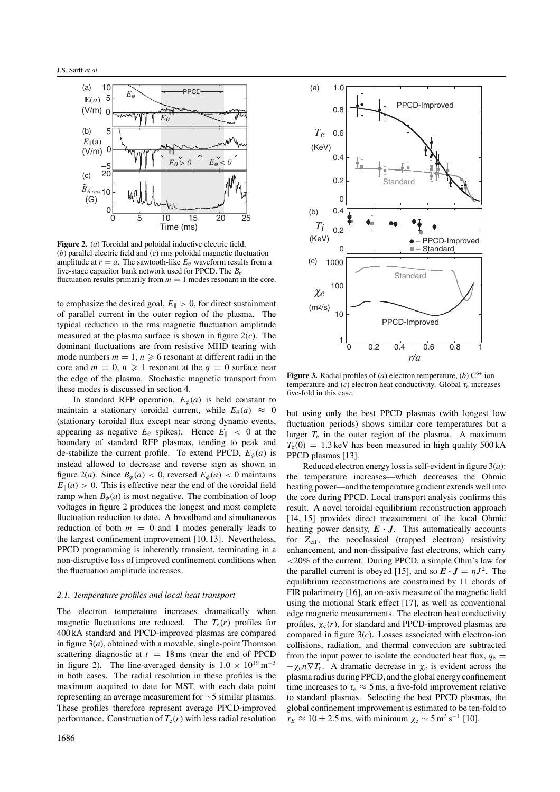

**Figure 2.** (*a*) Toroidal and poloidal inductive electric field, (*b*) parallel electric field and (*c*) rms poloidal magnetic fluctuation amplitude at  $r = a$ . The sawtooth-like  $E_{\theta}$  waveform results from a five-stage capacitor bank network used for PPCD. The *B*<sup>*B*</sup><sup>*B*</sup><sup>*B*</sup><sup>*B*</sup>*b*<sup>*B*</sup>*b*<sup>*B*</sup>*b*<sup>*B*</sup>*b*<sup>*B*</sup>*b*<sup>*b*</sup>*b*</sub>*b*<sup>*b*</sup>*b*</sub>*bb*<sup>*b*</sup>*b*</sub>*bb*<sup>*b*</sup>*b*</sub>*bb*<sup>*b*</sup>*b*<sup>*b*</sup>*b*<sup>*b*</sup>*b*</sub>*bb*<sup>*b*</sup>*b*</sub>*d<i>b***<sub>***b***</sub><sup>**</sup> fluctuation results primarily from  $m = 1$  modes resonant in the core.

to emphasize the desired goal,  $E_{\parallel} > 0$ , for direct sustainment of parallel current in the outer region of the plasma. The typical reduction in the rms magnetic fluctuation amplitude measured at the plasma surface is shown in figure 2(*c*). The dominant fluctuations are from resistive MHD tearing with mode numbers  $m = 1$ ,  $n \ge 6$  resonant at different radii in the  $\text{core and } m = 0, n \geq 1 \text{ resonant at the } q = 0 \text{ surface near}$ the edge of the plasma. Stochastic magnetic transport from these modes is discussed in section 4.

In standard RFP operation,  $E_{\phi}(a)$  is held constant to maintain a stationary toroidal current, while  $E_{\theta}(a) \approx 0$ (stationary toroidal flux except near strong dynamo events, appearing as negative  $E_\theta$  spikes). Hence  $E_\parallel$  < 0 at the boundary of standard RFP plasmas, tending to peak and de-stabilize the current profile. To extend PPCD,  $E_{\phi}(a)$  is instead allowed to decrease and reverse sign as shown in figure 2(*a*). Since  $B_{\phi}(a) < 0$ , reversed  $E_{\phi}(a) < 0$  maintains  $E_{\parallel}(a) > 0$ . This is effective near the end of the toroidal field ramp when  $B_{\phi}(a)$  is most negative. The combination of loop voltages in figure 2 produces the longest and most complete fluctuation reduction to date. A broadband and simultaneous reduction of both  $m = 0$  and 1 modes generally leads to the largest confinement improvement [10, 13]. Nevertheless, PPCD programming is inherently transient, terminating in a non-disruptive loss of improved confinement conditions when the fluctuation amplitude increases.

#### *2.1. Temperature profiles and local heat transport*

The electron temperature increases dramatically when magnetic fluctuations are reduced. The  $T_e(r)$  profiles for 400 kA standard and PPCD-improved plasmas are compared in figure 3(*a*), obtained with a movable, single-point Thomson scattering diagnostic at  $t = 18$  ms (near the end of PPCD in figure 2). The line-averaged density is  $1.0 \times 10^{19}$  m<sup>-3</sup> in both cases. The radial resolution in these profiles is the maximum acquired to date for MST, with each data point representing an average measurement for ∼5 similar plasmas. These profiles therefore represent average PPCD-improved performance. Construction of  $T_e(r)$  with less radial resolution



**Figure 3.** Radial profiles of (*a*) electron temperature, (*b*)  $C^{6+}$  ion temperature and (*c*) electron heat conductivity. Global  $\tau_e$  increases five-fold in this case.

but using only the best PPCD plasmas (with longest low fluctuation periods) shows similar core temperatures but a larger  $T_e$  in the outer region of the plasma. A maximum  $T_e(0) = 1.3 \text{ keV}$  has been measured in high quality 500 kA PPCD plasmas [13].

Reduced electron energy loss is self-evident in figure 3(*a*): the temperature increases—which decreases the Ohmic heating power—and the temperature gradient extends well into the core during PPCD. Local transport analysis confirms this result. A novel toroidal equilibrium reconstruction approach [14, 15] provides direct measurement of the local Ohmic heating power density,  $\mathbf{E} \cdot \mathbf{J}$ . This automatically accounts for *Z*eff, the neoclassical (trapped electron) resistivity enhancement, and non-dissipative fast electrons, which carry *<*20% of the current. During PPCD, a simple Ohm's law for the parallel current is obeyed [15], and so  $\mathbf{E} \cdot \mathbf{J} = \eta J^2$ . The equilibrium reconstructions are constrained by 11 chords of FIR polarimetry [16], an on-axis measure of the magnetic field using the motional Stark effect [17], as well as conventional edge magnetic measurements. The electron heat conductivity profiles,  $\chi_e(r)$ , for standard and PPCD-improved plasmas are compared in figure 3(*c*). Losses associated with electron-ion collisions, radiation, and thermal convection are subtracted from the input power to isolate the conducted heat flux,  $q_e$  = −*χ*e*n*∇*T*e. A dramatic decrease in *χ*<sup>e</sup> is evident across the plasma radius during PPCD, and the global energy confinement time increases to  $\tau_e \approx 5$  ms, a five-fold improvement relative to standard plasmas. Selecting the best PPCD plasmas, the global confinement improvement is estimated to be ten-fold to  $\tau_E \approx 10 \pm 2.5$  ms, with minimum  $\chi_e \sim 5$  m<sup>2</sup> s<sup>-1</sup> [10].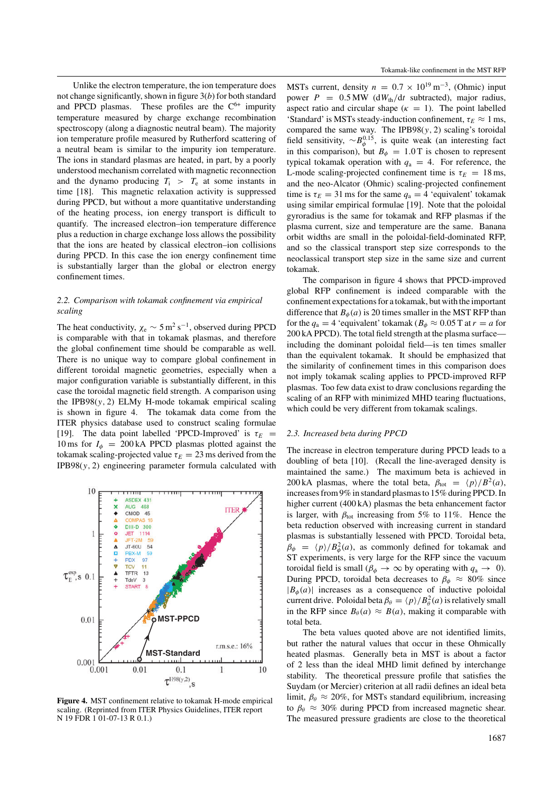Unlike the electron temperature, the ion temperature does not change significantly, shown in figure 3(*b*) for both standard and PPCD plasmas. These profiles are the  $C^{6+}$  impurity temperature measured by charge exchange recombination spectroscopy (along a diagnostic neutral beam). The majority ion temperature profile measured by Rutherford scattering of a neutral beam is similar to the impurity ion temperature. The ions in standard plasmas are heated, in part, by a poorly understood mechanism correlated with magnetic reconnection and the dynamo producing  $T_i$  >  $T_e$  at some instants in time [18]. This magnetic relaxation activity is suppressed during PPCD, but without a more quantitative understanding of the heating process, ion energy transport is difficult to quantify. The increased electron–ion temperature difference plus a reduction in charge exchange loss allows the possibility that the ions are heated by classical electron–ion collisions during PPCD. In this case the ion energy confinement time is substantially larger than the global or electron energy confinement times.

## *2.2. Comparison with tokamak confinement via empirical scaling*

The heat conductivity,  $\chi_e \sim 5 \,\mathrm{m^2 \, s^{-1}}$ , observed during PPCD is comparable with that in tokamak plasmas, and therefore the global confinement time should be comparable as well. There is no unique way to compare global confinement in different toroidal magnetic geometries, especially when a major configuration variable is substantially different, in this case the toroidal magnetic field strength. A comparison using the IPB98(*y,* 2) ELMy H-mode tokamak empirical scaling is shown in figure 4. The tokamak data come from the ITER physics database used to construct scaling formulae [19]. The data point labelled 'PPCD-Improved' is  $\tau_E$  = 10 ms for  $I_{\phi}$  = 200 kA PPCD plasmas plotted against the tokamak scaling-projected value  $\tau_E = 23$  ms derived from the  $IPB98(y, 2)$  engineering parameter formula calculated with



**Figure 4.** MST confinement relative to tokamak H-mode empirical scaling. (Reprinted from ITER Physics Guidelines, ITER report N 19 FDR 1 01-07-13 R 0.1.)

MSTs current, density  $n = 0.7 \times 10^{19} \text{ m}^{-3}$ , (Ohmic) input power  $P = 0.5$  MW (d $W_{\text{th}}$ /dt subtracted), major radius, aspect ratio and circular shape  $(k = 1)$ . The point labelled 'Standard' is MSTs steady-induction confinement,  $\tau_E \approx 1$  ms, compared the same way. The IPB98(*y,* 2) scaling's toroidal field sensitivity,  $\sim B_{\phi}^{0.15}$ , is quite weak (an interesting fact in this comparison), but  $B_{\phi} = 1.0$  T is chosen to represent typical tokamak operation with  $q_a = 4$ . For reference, the L-mode scaling-projected confinement time is  $\tau_E = 18$  ms, and the neo-Alcator (Ohmic) scaling-projected confinement time is  $\tau_E = 31$  ms for the same  $q_a = 4$  'equivalent' tokamak using similar empirical formulae [19]. Note that the poloidal gyroradius is the same for tokamak and RFP plasmas if the plasma current, size and temperature are the same. Banana orbit widths are small in the poloidal-field-dominated RFP, and so the classical transport step size corresponds to the neoclassical transport step size in the same size and current tokamak.

The comparison in figure 4 shows that PPCD-improved global RFP confinement is indeed comparable with the confinement expectations for a tokamak, but with the important difference that  $B_{\phi}(a)$  is 20 times smaller in the MST RFP than for the  $q_a = 4$  'equivalent' tokamak ( $B_\phi \approx 0.05$  T at  $r = a$  for 200 kA PPCD). The total field strength at the plasma surface including the dominant poloidal field—is ten times smaller than the equivalent tokamak. It should be emphasized that the similarity of confinement times in this comparison does not imply tokamak scaling applies to PPCD-improved RFP plasmas. Too few data exist to draw conclusions regarding the scaling of an RFP with minimized MHD tearing fluctuations, which could be very different from tokamak scalings.

## *2.3. Increased beta during PPCD*

The increase in electron temperature during PPCD leads to a doubling of beta [10]. (Recall the line-averaged density is maintained the same.) The maximum beta is achieved in  $200 \text{ kA}$  plasmas, where the total beta,  $\beta_{\text{tot}} = \langle p \rangle / B^2(a)$ , increases from 9% in standard plasmas to 15% during PPCD. In higher current (400 kA) plasmas the beta enhancement factor is larger, with  $\beta_{\text{tot}}$  increasing from 5% to 11%. Hence the beta reduction observed with increasing current in standard plasmas is substantially lessened with PPCD. Toroidal beta,  $\beta_{\phi} = \langle p \rangle / B_{\phi}^2(a)$ , as commonly defined for tokamak and ST experiments, is very large for the RFP since the vacuum toroidal field is small ( $\beta_{\phi} \rightarrow \infty$  by operating with  $q_a \rightarrow 0$ ). During PPCD, toroidal beta decreases to  $\beta_{\phi} \approx 80\%$  since  $|B_{\phi}(a)|$  increases as a consequence of inductive poloidal current drive. Poloidal beta  $\beta_{\theta} = \langle p \rangle / B_{\theta}^2(a)$  is relatively small in the RFP since  $B_\theta(a) \approx B(a)$ , making it comparable with total beta.

The beta values quoted above are not identified limits, but rather the natural values that occur in these Ohmically heated plasmas. Generally beta in MST is about a factor of 2 less than the ideal MHD limit defined by interchange stability. The theoretical pressure profile that satisfies the Suydam (or Mercier) criterion at all radii defines an ideal beta limit,  $\beta_{\theta} \approx 20\%$ , for MSTs standard equilibrium, increasing to  $\beta_{\theta} \approx 30\%$  during PPCD from increased magnetic shear. The measured pressure gradients are close to the theoretical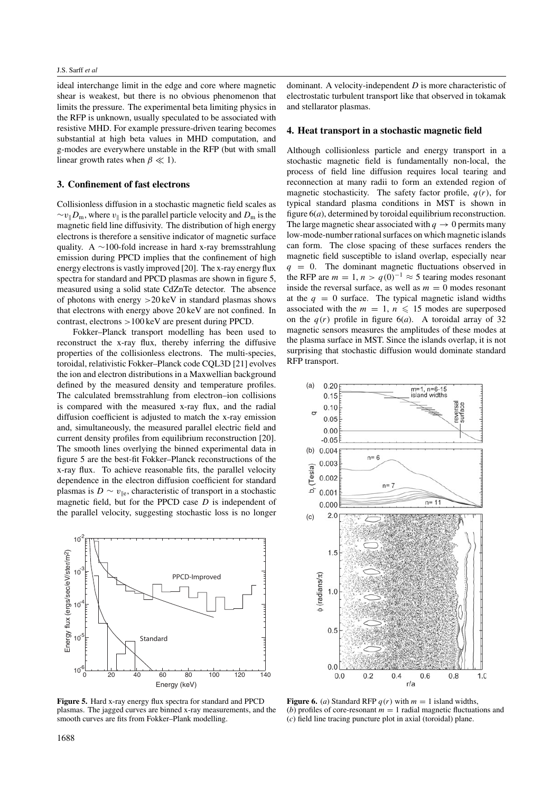ideal interchange limit in the edge and core where magnetic shear is weakest, but there is no obvious phenomenon that limits the pressure. The experimental beta limiting physics in the RFP is unknown, usually speculated to be associated with resistive MHD. For example pressure-driven tearing becomes substantial at high beta values in MHD computation, and g-modes are everywhere unstable in the RFP (but with small linear growth rates when  $\beta \ll 1$ ).

#### **3. Confinement of fast electrons**

Collisionless diffusion in a stochastic magnetic field scales as  $\sim v_{\parallel}D_{\rm m}$ , where  $v_{\parallel}$  is the parallel particle velocity and  $D_{\rm m}$  is the magnetic field line diffusivity. The distribution of high energy electrons is therefore a sensitive indicator of magnetic surface quality. A ∼100-fold increase in hard x-ray bremsstrahlung emission during PPCD implies that the confinement of high energy electrons is vastly improved [20]. The x-ray energy flux spectra for standard and PPCD plasmas are shown in figure 5, measured using a solid state CdZnTe detector. The absence of photons with energy *>*20 keV in standard plasmas shows that electrons with energy above 20 keV are not confined. In contrast, electrons *>*100 keV are present during PPCD.

Fokker–Planck transport modelling has been used to reconstruct the x-ray flux, thereby inferring the diffusive properties of the collisionless electrons. The multi-species, toroidal, relativistic Fokker–Planck code CQL3D [21] evolves the ion and electron distributions in a Maxwellian background defined by the measured density and temperature profiles. The calculated bremsstrahlung from electron–ion collisions is compared with the measured x-ray flux, and the radial diffusion coefficient is adjusted to match the x-ray emission and, simultaneously, the measured parallel electric field and current density profiles from equilibrium reconstruction [20]. The smooth lines overlying the binned experimental data in figure 5 are the best-fit Fokker–Planck reconstructions of the x-ray flux. To achieve reasonable fits, the parallel velocity dependence in the electron diffusion coefficient for standard plasmas is  $D \sim v_{\parallel e}$ , characteristic of transport in a stochastic magnetic field, but for the PPCD case *D* is independent of the parallel velocity, suggesting stochastic loss is no longer



**Figure 5.** Hard x-ray energy flux spectra for standard and PPCD plasmas. The jagged curves are binned x-ray measurements, and the smooth curves are fits from Fokker–Plank modelling.

dominant. A velocity-independent *D* is more characteristic of electrostatic turbulent transport like that observed in tokamak and stellarator plasmas.

#### **4. Heat transport in a stochastic magnetic field**

Although collisionless particle and energy transport in a stochastic magnetic field is fundamentally non-local, the process of field line diffusion requires local tearing and reconnection at many radii to form an extended region of magnetic stochasticity. The safety factor profile, *q(r)*, for typical standard plasma conditions in MST is shown in figure 6(*a*), determined by toroidal equilibrium reconstruction. The large magnetic shear associated with  $q \to 0$  permits many low-mode-number rational surfaces on which magnetic islands can form. The close spacing of these surfaces renders the magnetic field susceptible to island overlap, especially near *q* = 0. The dominant magnetic fluctuations observed in the RFP are  $m = 1$ ,  $n > q(0)^{-1} \approx 5$  tearing modes resonant inside the reversal surface, as well as  $m = 0$  modes resonant at the  $q = 0$  surface. The typical magnetic island widths associated with the  $m = 1$ ,  $n \le 15$  modes are superposed on the  $q(r)$  profile in figure  $6(a)$ . A toroidal array of 32 magnetic sensors measures the amplitudes of these modes at the plasma surface in MST. Since the islands overlap, it is not surprising that stochastic diffusion would dominate standard RFP transport.



**Figure 6.** (*a*) Standard RFP  $q(r)$  with  $m = 1$  island widths, (*b*) profiles of core-resonant  $m = 1$  radial magnetic fluctuations and (*c*) field line tracing puncture plot in axial (toroidal) plane.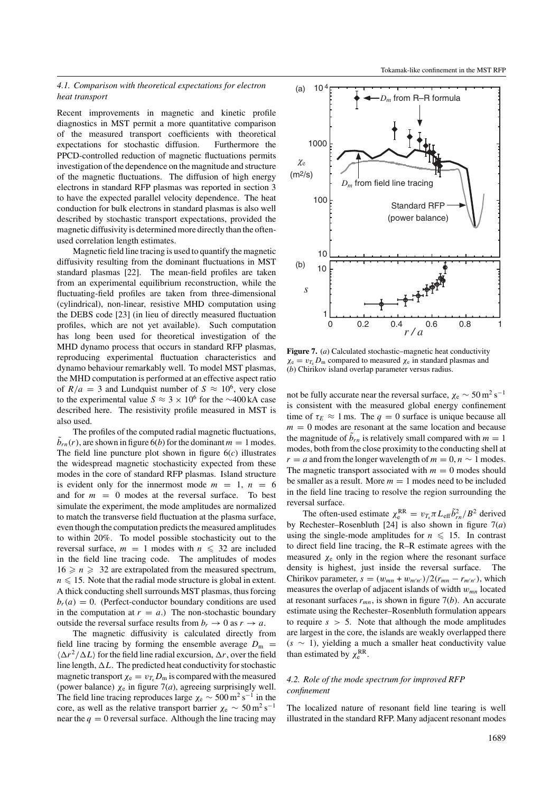## *4.1. Comparison with theoretical expectations for electron heat transport*

Recent improvements in magnetic and kinetic profile diagnostics in MST permit a more quantitative comparison of the measured transport coefficients with theoretical expectations for stochastic diffusion. Furthermore the PPCD-controlled reduction of magnetic fluctuations permits investigation of the dependence on the magnitude and structure of the magnetic fluctuations. The diffusion of high energy electrons in standard RFP plasmas was reported in section 3 to have the expected parallel velocity dependence. The heat conduction for bulk electrons in standard plasmas is also well described by stochastic transport expectations, provided the magnetic diffusivity is determined more directly than the oftenused correlation length estimates.

Magnetic field line tracing is used to quantify the magnetic diffusivity resulting from the dominant fluctuations in MST standard plasmas [22]. The mean-field profiles are taken from an experimental equilibrium reconstruction, while the fluctuating-field profiles are taken from three-dimensional (cylindrical), non-linear, resistive MHD computation using the DEBS code [23] (in lieu of directly measured fluctuation profiles, which are not yet available). Such computation has long been used for theoretical investigation of the MHD dynamo process that occurs in standard RFP plasmas, reproducing experimental fluctuation characteristics and dynamo behaviour remarkably well. To model MST plasmas, the MHD computation is performed at an effective aspect ratio of  $R/a = 3$  and Lundquist number of  $S \approx 10^6$ , very close to the experimental value *<sup>S</sup>* <sup>≈</sup> <sup>3</sup> <sup>×</sup> <sup>10</sup><sup>6</sup> for the <sup>∼</sup>400 kA case described here. The resistivity profile measured in MST is also used.

The profiles of the computed radial magnetic fluctuations,  $b_{rn}(r)$ , are shown in figure 6(*b*) for the dominant  $m = 1$  modes. The field line puncture plot shown in figure  $6(c)$  illustrates the widespread magnetic stochasticity expected from these modes in the core of standard RFP plasmas. Island structure is evident only for the innermost mode  $m = 1$ ,  $n = 6$ and for  $m = 0$  modes at the reversal surface. To best simulate the experiment, the mode amplitudes are normalized to match the transverse field fluctuation at the plasma surface, even though the computation predicts the measured amplitudes to within 20%. To model possible stochasticity out to the reversal surface,  $m = 1$  modes with  $n \leq 32$  are included in the field line tracing code. The amplitudes of modes  $16 \ge n \ge 32$  are extrapolated from the measured spectrum,  $n \leq 15$ . Note that the radial mode structure is global in extent. A thick conducting shell surrounds MST plasmas, thus forcing  $b_r(a) = 0$ . (Perfect-conductor boundary conditions are used in the computation at  $r = a$ .) The non-stochastic boundary outside the reversal surface results from  $b_r \to 0$  as  $r \to a$ .

The magnetic diffusivity is calculated directly from field line tracing by forming the ensemble average  $D<sub>m</sub>$  =  $\langle \Delta r^2/\Delta L \rangle$  for the field line radial excursion,  $\Delta r$ , over the field line length,  $\Delta L$ . The predicted heat conductivity for stochastic magnetic transport  $\chi_e = v_{T_e} D_m$  is compared with the measured (power balance)  $\chi_e$  in figure 7(*a*), agreeing surprisingly well. The field line tracing reproduces large  $\chi_e \sim 500 \,\mathrm{m}^2 \,\mathrm{s}^{-1}$  in the core, as well as the relative transport barrier  $\chi_e \sim 50 \,\mathrm{m}^2 \,\mathrm{s}^{-1}$ near the  $q = 0$  reversal surface. Although the line tracing may



**Figure 7.** (*a*) Calculated stochastic–magnetic heat conductivity  $\chi_e = v_{T_e} D_m$  compared to measured  $\chi_e$  in standard plasmas and (*b*) Chirikov island overlap parameter versus radius.

not be fully accurate near the reversal surface,  $\chi_e \sim 50 \,\mathrm{m}^2 \,\mathrm{s}^{-1}$ is consistent with the measured global energy confinement time of  $\tau_E \approx 1$  ms. The  $q = 0$  surface is unique because all  $m = 0$  modes are resonant at the same location and because the magnitude of  $b_{rn}$  is relatively small compared with  $m = 1$ modes, both from the close proximity to the conducting shell at *r* = *a* and from the longer wavelength of  $m = 0, n \sim 1$  modes. The magnetic transport associated with  $m = 0$  modes should be smaller as a result. More  $m = 1$  modes need to be included in the field line tracing to resolve the region surrounding the reversal surface.

The often-used estimate  $\chi_e^{RR} = v_{T_e} \pi L_{eff} \tilde{b}_{rn}^2 / B^2$  derived by Rechester–Rosenbluth [24] is also shown in figure 7(*a*) using the single-mode amplitudes for  $n \leq 15$ . In contrast to direct field line tracing, the R–R estimate agrees with the measured  $\chi_e$  only in the region where the resonant surface density is highest, just inside the reversal surface. The Chirikov parameter,  $s = (w_{mn} + w_{m'n'})/2(r_{mn} - r_{m'n'})$ , which measures the overlap of adjacent islands of width *wmn* located at resonant surfaces  $r_{mn}$ , is shown in figure 7(*b*). An accurate estimate using the Rechester–Rosenbluth formulation appears to require *s >* 5. Note that although the mode amplitudes are largest in the core, the islands are weakly overlapped there (*s* ∼ 1), yielding a much a smaller heat conductivity value than estimated by  $\chi_e^{RR}$ .

## *4.2. Role of the mode spectrum for improved RFP confinement*

The localized nature of resonant field line tearing is well illustrated in the standard RFP. Many adjacent resonant modes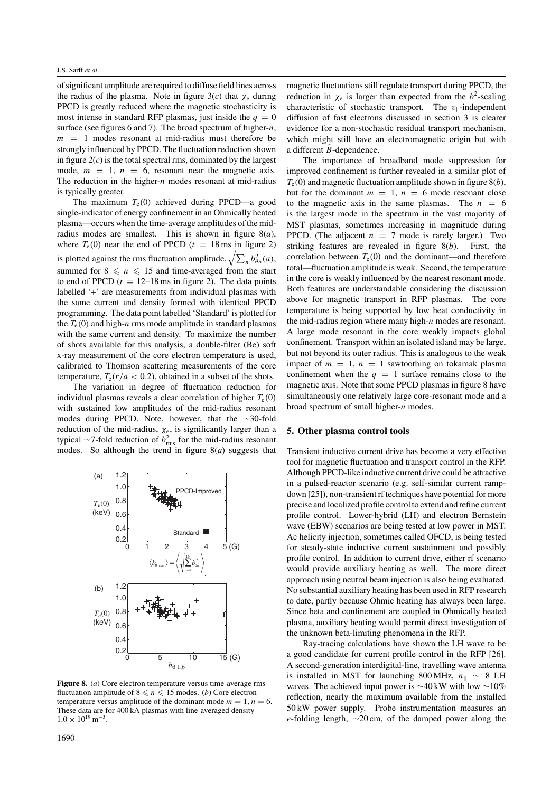of significant amplitude are required to diffuse field lines across the radius of the plasma. Note in figure  $3(c)$  that  $\chi_e$  during PPCD is greatly reduced where the magnetic stochasticity is most intense in standard RFP plasmas, just inside the  $q = 0$ surface (see figures 6 and 7). The broad spectrum of higher-*n*,  $m = 1$  modes resonant at mid-radius must therefore be strongly influenced by PPCD. The fluctuation reduction shown in figure  $2(c)$  is the total spectral rms, dominated by the largest mode,  $m = 1$ ,  $n = 6$ , resonant near the magnetic axis. The reduction in the higher-*n* modes resonant at mid-radius is typically greater.

The maximum *T*e*(*0*)* achieved during PPCD—a good single-indicator of energy confinement in an Ohmically heated plasma—occurs when the time-average amplitudes of the midradius modes are smallest. This is shown in figure 8(*a*), where  $T_e(0)$  near the end of PPCD ( $t = 18$  ms in figure 2) is plotted against the rms fluctuation amplitude,  $\sqrt{\sum_n b_{\theta n}^2(a)}$ , summed for  $8 \le n \le 15$  and time-averaged from the start to end of PPCD  $(t = 12-18 \text{ ms in figure 2})$ . The data points labelled '+' are measurements from individual plasmas with the same current and density formed with identical PPCD programming. The data point labelled 'Standard' is plotted for the  $T_e(0)$  and high-*n* rms mode amplitude in standard plasmas with the same current and density. To maximize the number of shots available for this analysis, a double-filter (Be) soft x-ray measurement of the core electron temperature is used, calibrated to Thomson scattering measurements of the core temperature,  $T_e(r/a < 0.2)$ , obtained in a subset of the shots.

The variation in degree of fluctuation reduction for individual plasmas reveals a clear correlation of higher  $T_e(0)$ with sustained low amplitudes of the mid-radius resonant modes during PPCD. Note, however, that the ∼30-fold reduction of the mid-radius,  $\chi_e$ , is significantly larger than a typical ∼7-fold reduction of  $b_{\text{rms}}^2$  for the mid-radius resonant modes. So although the trend in figure 8(*a*) suggests that



**Figure 8.** (*a*) Core electron temperature versus time-average rms fluctuation amplitude of  $8 \le n \le 15$  modes. (*b*) Core electron temperature versus amplitude of the dominant mode  $m = 1$ ,  $n = 6$ . These data are for 400 kA plasmas with line-averaged density  $1.0 \times 10^{19}$  m<sup>-3</sup>.

magnetic fluctuations still regulate transport during PPCD, the reduction in  $\chi_e$  is larger than expected from the  $b^2$ -scaling characteristic of stochastic transport. The  $v_{\parallel}$ -independent diffusion of fast electrons discussed in section 3 is clearer evidence for a non-stochastic residual transport mechanism, which might still have an electromagnetic origin but with a different  $\tilde{B}$ -dependence.

The importance of broadband mode suppression for improved confinement is further revealed in a similar plot of  $T_e(0)$  and magnetic fluctuation amplitude shown in figure 8(*b*), but for the dominant  $m = 1$ ,  $n = 6$  mode resonant close to the magnetic axis in the same plasmas. The  $n = 6$ is the largest mode in the spectrum in the vast majority of MST plasmas, sometimes increasing in magnitude during PPCD. (The adjacent  $n = 7$  mode is rarely larger.) Two striking features are revealed in figure  $8(b)$ . First, the striking features are revealed in figure  $8(b)$ . correlation between  $T_e(0)$  and the dominant—and therefore total—fluctuation amplitude is weak. Second, the temperature in the core is weakly influenced by the nearest resonant mode. Both features are understandable considering the discussion above for magnetic transport in RFP plasmas. The core temperature is being supported by low heat conductivity in the mid-radius region where many high-*n* modes are resonant. A large mode resonant in the core weakly impacts global confinement. Transport within an isolated island may be large, but not beyond its outer radius. This is analogous to the weak impact of  $m = 1$ ,  $n = 1$  sawtoothing on tokamak plasma confinement when the  $q = 1$  surface remains close to the magnetic axis. Note that some PPCD plasmas in figure 8 have simultaneously one relatively large core-resonant mode and a broad spectrum of small higher-*n* modes.

# **5. Other plasma control tools**

Transient inductive current drive has become a very effective tool for magnetic fluctuation and transport control in the RFP. Although PPCD-like inductive current drive could be attractive in a pulsed-reactor scenario (e.g. self-similar current rampdown [25]), non-transient rf techniques have potential for more precise and localized profile control to extend and refine current profile control. Lower-hybrid (LH) and electron Bernstein wave (EBW) scenarios are being tested at low power in MST. Ac helicity injection, sometimes called OFCD, is being tested for steady-state inductive current sustainment and possibly profile control. In addition to current drive, either rf scenario would provide auxiliary heating as well. The more direct approach using neutral beam injection is also being evaluated. No substantial auxiliary heating has been used in RFP research to date, partly because Ohmic heating has always been large. Since beta and confinement are coupled in Ohmically heated plasma, auxiliary heating would permit direct investigation of the unknown beta-limiting phenomena in the RFP.

Ray-tracing calculations have shown the LH wave to be a good candidate for current profile control in the RFP [26]. A second-generation interdigital-line, travelling wave antenna is installed in MST for launching 800 MHz,  $n_{\parallel} \sim 8$  LH waves. The achieved input power is ∼40 kW with low ∼10% reflection, nearly the maximum available from the installed 50 kW power supply. Probe instrumentation measures an *e*-folding length, ∼20 cm, of the damped power along the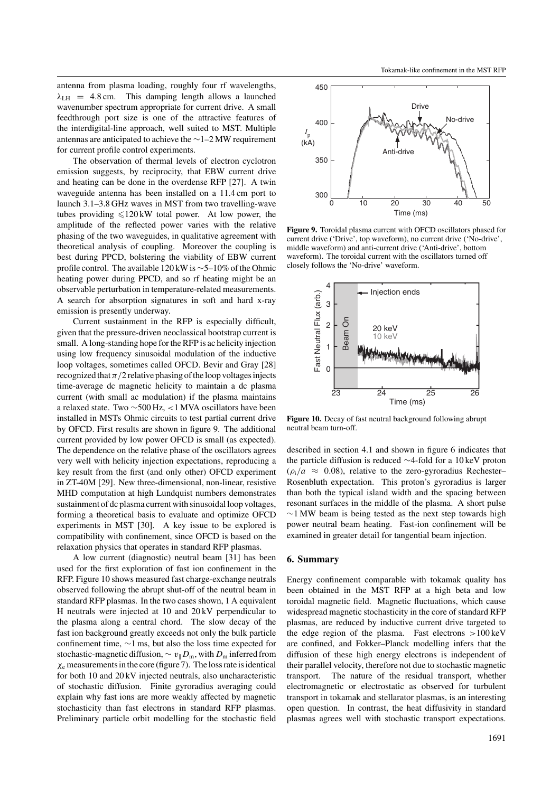for current profile control experiments. The observation of thermal levels of electron cyclotron emission suggests, by reciprocity, that EBW current drive and heating can be done in the overdense RFP [27]. A twin waveguide antenna has been installed on a 11.4 cm port to launch 3.1–3.8 GHz waves in MST from two travelling-wave tubes providing  $\leq 120$  kW total power. At low power, the amplitude of the reflected power varies with the relative phasing of the two waveguides, in qualitative agreement with theoretical analysis of coupling. Moreover the coupling is best during PPCD, bolstering the viability of EBW current profile control. The available 120 kW is ∼5–10% of the Ohmic heating power during PPCD, and so rf heating might be an observable perturbation in temperature-related measurements. A search for absorption signatures in soft and hard x-ray emission is presently underway.

Current sustainment in the RFP is especially difficult, given that the pressure-driven neoclassical bootstrap current is small. A long-standing hope for the RFP is ac helicity injection using low frequency sinusoidal modulation of the inductive loop voltages, sometimes called OFCD. Bevir and Gray [28] recognized that  $\pi/2$  relative phasing of the loop voltages injects time-average dc magnetic helicity to maintain a dc plasma current (with small ac modulation) if the plasma maintains a relaxed state. Two ∼500 Hz, *<*1 MVA oscillators have been installed in MSTs Ohmic circuits to test partial current drive by OFCD. First results are shown in figure 9. The additional current provided by low power OFCD is small (as expected). The dependence on the relative phase of the oscillators agrees very well with helicity injection expectations, reproducing a key result from the first (and only other) OFCD experiment in ZT-40M [29]. New three-dimensional, non-linear, resistive MHD computation at high Lundquist numbers demonstrates sustainment of dc plasma current with sinusoidal loop voltages, forming a theoretical basis to evaluate and optimize OFCD experiments in MST [30]. A key issue to be explored is compatibility with confinement, since OFCD is based on the relaxation physics that operates in standard RFP plasmas.

A low current (diagnostic) neutral beam [31] has been used for the first exploration of fast ion confinement in the RFP. Figure 10 shows measured fast charge-exchange neutrals observed following the abrupt shut-off of the neutral beam in standard RFP plasmas. In the two cases shown, 1 A equivalent H neutrals were injected at 10 and 20 kV perpendicular to the plasma along a central chord. The slow decay of the fast ion background greatly exceeds not only the bulk particle confinement time, ∼1 ms, but also the loss time expected for stochastic-magnetic diffusion,  $\sim v_{\parallel}D_{\rm m}$ , with  $D_{\rm m}$  inferred from *χ*<sup>e</sup> measurements in the core (figure 7). The loss rate is identical for both 10 and 20 kV injected neutrals, also uncharacteristic of stochastic diffusion. Finite gyroradius averaging could explain why fast ions are more weakly affected by magnetic stochasticity than fast electrons in standard RFP plasmas. Preliminary particle orbit modelling for the stochastic field



**Figure 9.** Toroidal plasma current with OFCD oscillators phased for current drive ('Drive', top waveform), no current drive ('No-drive', middle waveform) and anti-current drive ('Anti-drive', bottom waveform). The toroidal current with the oscillators turned off closely follows the 'No-drive' waveform.



**Figure 10.** Decay of fast neutral background following abrupt neutral beam turn-off.

described in section 4.1 and shown in figure 6 indicates that the particle diffusion is reduced ∼4-fold for a 10 keV proton  $(\rho_i/a \approx 0.08)$ , relative to the zero-gyroradius Rechester– Rosenbluth expectation. This proton's gyroradius is larger than both the typical island width and the spacing between resonant surfaces in the middle of the plasma. A short pulse  $∼1$  MW beam is being tested as the next step towards high power neutral beam heating. Fast-ion confinement will be examined in greater detail for tangential beam injection.

## **6. Summary**

Energy confinement comparable with tokamak quality has been obtained in the MST RFP at a high beta and low toroidal magnetic field. Magnetic fluctuations, which cause widespread magnetic stochasticity in the core of standard RFP plasmas, are reduced by inductive current drive targeted to the edge region of the plasma. Fast electrons *>*100 keV are confined, and Fokker–Planck modelling infers that the diffusion of these high energy electrons is independent of their parallel velocity, therefore not due to stochastic magnetic transport. The nature of the residual transport, whether electromagnetic or electrostatic as observed for turbulent transport in tokamak and stellarator plasmas, is an interesting open question. In contrast, the heat diffusivity in standard plasmas agrees well with stochastic transport expectations.